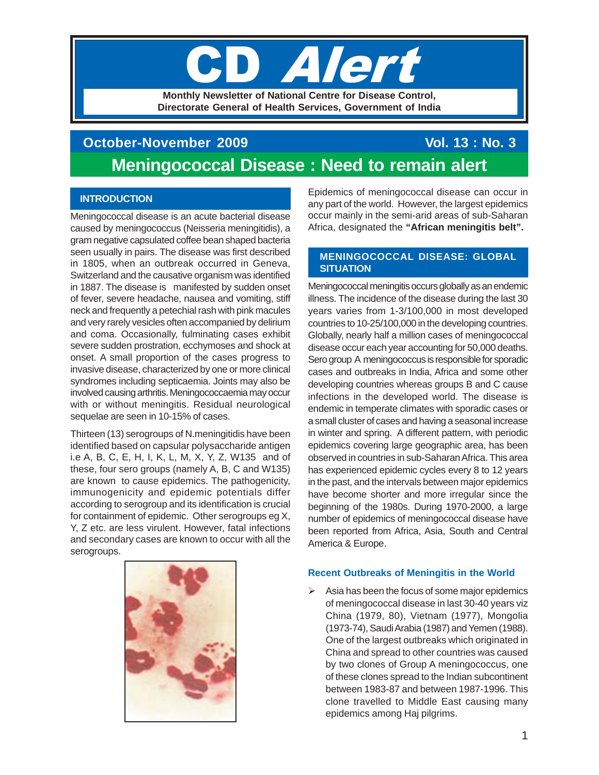# **Aler Monthly Newsletter of National Centre for Disease Control,**

**Directorate General of Health Services, Government of India**

## **October-November 2009** Vol. 13 : No. 3 **Meningococcal Disease : Need to remain alert**

## **INTRODUCTION**

Meningococcal disease is an acute bacterial disease caused by meningococcus (Neisseria meningitidis), a gram negative capsulated coffee bean shaped bacteria seen usually in pairs. The disease was first described in 1805, when an outbreak occurred in Geneva, Switzerland and the causative organism was identified in 1887. The disease is manifested by sudden onset of fever, severe headache, nausea and vomiting, stiff neck and frequently a petechial rash with pink macules and very rarely vesicles often accompanied by delirium and coma. Occasionally, fulminating cases exhibit severe sudden prostration, ecchymoses and shock at onset. A small proportion of the cases progress to invasive disease, characterized by one or more clinical syndromes including septicaemia. Joints may also be involved causing arthritis. Meningococcaemia may occur with or without meningitis. Residual neurological sequelae are seen in 10-15% of cases.

Thirteen (13) serogroups of N.meningitidis have been identified based on capsular polysaccharide antigen i.e A, B, C, E, H, I, K, L, M, X, Y, Z, W135 and of these, four sero groups (namely A, B, C and W135) are known to cause epidemics. The pathogenicity, immunogenicity and epidemic potentials differ according to serogroup and its identification is crucial for containment of epidemic. Other serogroups eg X, Y, Z etc. are less virulent. However, fatal infections and secondary cases are known to occur with all the serogroups.



Epidemics of meningococcal disease can occur in any part of the world. However, the largest epidemics occur mainly in the semi-arid areas of sub-Saharan Africa, designated the **"African meningitis belt".**

## **MENINGOCOCCAL DISEASE: GLOBAL SITUATION**

Meningococcal meningitis occurs globally as an endemic illness. The incidence of the disease during the last 30 years varies from 1-3/100,000 in most developed countries to 10-25/100,000 in the developing countries. Globally, nearly half a million cases of meningococcal disease occur each year accounting for 50,000 deaths. Sero group A meningococcus is responsible for sporadic cases and outbreaks in India, Africa and some other developing countries whereas groups B and C cause infections in the developed world. The disease is endemic in temperate climates with sporadic cases or a small cluster of cases and having a seasonal increase in winter and spring. A different pattern, with periodic epidemics covering large geographic area, has been observed in countries in sub-Saharan Africa. This area has experienced epidemic cycles every 8 to 12 years in the past, and the intervals between major epidemics have become shorter and more irregular since the beginning of the 1980s. During 1970-2000, a large number of epidemics of meningococcal disease have been reported from Africa, Asia, South and Central America & Europe.

## **Recent Outbreaks of Meningitis in the World**

 $\triangleright$  Asia has been the focus of some major epidemics of meningococcal disease in last 30-40 years viz China (1979, 80), Vietnam (1977), Mongolia (1973-74), Saudi Arabia (1987) and Yemen (1988). One of the largest outbreaks which originated in China and spread to other countries was caused by two clones of Group A meningococcus, one of these clones spread to the Indian subcontinent between 1983-87 and between 1987-1996. This clone travelled to Middle East causing many epidemics among Haj pilgrims.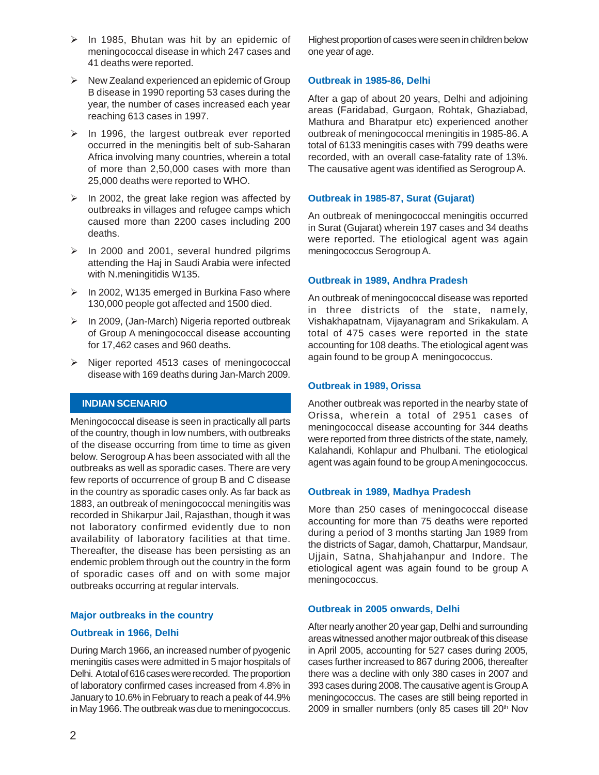- $\triangleright$  In 1985, Bhutan was hit by an epidemic of meningococcal disease in which 247 cases and 41 deaths were reported.
- $\triangleright$  New Zealand experienced an epidemic of Group B disease in 1990 reporting 53 cases during the year, the number of cases increased each year reaching 613 cases in 1997.
- $\triangleright$  In 1996, the largest outbreak ever reported occurred in the meningitis belt of sub-Saharan Africa involving many countries, wherein a total of more than 2,50,000 cases with more than 25,000 deaths were reported to WHO.
- $\triangleright$  In 2002, the great lake region was affected by outbreaks in villages and refugee camps which caused more than 2200 cases including 200 deaths.
- $\triangleright$  In 2000 and 2001, several hundred pilgrims attending the Haj in Saudi Arabia were infected with N.meningitidis W135.
- $\triangleright$  In 2002, W135 emerged in Burkina Faso where 130,000 people got affected and 1500 died.
- $\triangleright$  In 2009, (Jan-March) Nigeria reported outbreak of Group A meningococcal disease accounting for 17,462 cases and 960 deaths.
- $\triangleright$  Niger reported 4513 cases of meningococcal disease with 169 deaths during Jan-March 2009.

## **INDIAN SCENARIO**

Meningococcal disease is seen in practically all parts of the country, though in low numbers, with outbreaks of the disease occurring from time to time as given below. Serogroup A has been associated with all the outbreaks as well as sporadic cases. There are very few reports of occurrence of group B and C disease in the country as sporadic cases only. As far back as 1883, an outbreak of meningococcal meningitis was recorded in Shikarpur Jail, Rajasthan, though it was not laboratory confirmed evidently due to non availability of laboratory facilities at that time. Thereafter, the disease has been persisting as an endemic problem through out the country in the form of sporadic cases off and on with some major outbreaks occurring at regular intervals.

#### **Major outbreaks in the country**

## **Outbreak in 1966, Delhi**

During March 1966, an increased number of pyogenic meningitis cases were admitted in 5 major hospitals of Delhi. A total of 616 cases were recorded. The proportion of laboratory confirmed cases increased from 4.8% in January to 10.6% in February to reach a peak of 44.9% in May 1966. The outbreak was due to meningococcus.

Highest proportion of cases were seen in children below one year of age.

#### **Outbreak in 1985-86, Delhi**

After a gap of about 20 years, Delhi and adjoining areas (Faridabad, Gurgaon, Rohtak, Ghaziabad, Mathura and Bharatpur etc) experienced another outbreak of meningococcal meningitis in 1985-86. A total of 6133 meningitis cases with 799 deaths were recorded, with an overall case-fatality rate of 13%. The causative agent was identified as Serogroup A.

#### **Outbreak in 1985-87, Surat (Gujarat)**

An outbreak of meningococcal meningitis occurred in Surat (Gujarat) wherein 197 cases and 34 deaths were reported. The etiological agent was again meningococcus Serogroup A.

## **Outbreak in 1989, Andhra Pradesh**

An outbreak of meningococcal disease was reported in three districts of the state, namely, Vishakhapatnam, Vijayanagram and Srikakulam. A total of 475 cases were reported in the state accounting for 108 deaths. The etiological agent was again found to be group A meningococcus.

#### **Outbreak in 1989, Orissa**

Another outbreak was reported in the nearby state of Orissa, wherein a total of 2951 cases of meningococcal disease accounting for 344 deaths were reported from three districts of the state, namely, Kalahandi, Kohlapur and Phulbani. The etiological agent was again found to be group A meningococcus.

#### **Outbreak in 1989, Madhya Pradesh**

More than 250 cases of meningococcal disease accounting for more than 75 deaths were reported during a period of 3 months starting Jan 1989 from the districts of Sagar, damoh, Chattarpur, Mandsaur, Ujjain, Satna, Shahjahanpur and Indore. The etiological agent was again found to be group A meningococcus.

#### **Outbreak in 2005 onwards, Delhi**

After nearly another 20 year gap, Delhi and surrounding areas witnessed another major outbreak of this disease in April 2005, accounting for 527 cases during 2005, cases further increased to 867 during 2006, thereafter there was a decline with only 380 cases in 2007 and 393 cases during 2008. The causative agent is Group A meningococcus. The cases are still being reported in 2009 in smaller numbers (only 85 cases till 20<sup>th</sup> Nov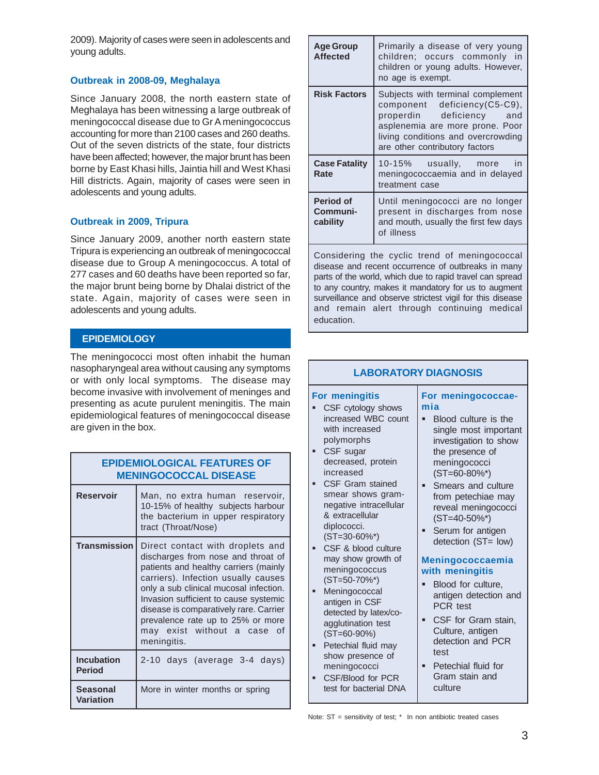2009). Majority of cases were seen in adolescents and young adults.

## **Outbreak in 2008-09, Meghalaya**

Since January 2008, the north eastern state of Meghalaya has been witnessing a large outbreak of meningococcal disease due to Gr A meningococcus accounting for more than 2100 cases and 260 deaths. Out of the seven districts of the state, four districts have been affected; however, the major brunt has been borne by East Khasi hills, Jaintia hill and West Khasi Hill districts. Again, majority of cases were seen in adolescents and young adults.

## **Outbreak in 2009, Tripura**

Since January 2009, another north eastern state Tripura is experiencing an outbreak of meningococcal disease due to Group A meningococcus. A total of 277 cases and 60 deaths have been reported so far, the major brunt being borne by Dhalai district of the state. Again, majority of cases were seen in adolescents and young adults.

## **EPIDEMIOLOGY**

The meningococci most often inhabit the human nasopharyngeal area without causing any symptoms or with only local symptoms. The disease ma become invasive with involvement of meninges an presenting as acute purulent meningitis. The mai epidemiological features of meningococcal diseas are given in the box.

| <b>EPIDEMIOLOGICAL FEATURES OF</b><br><b>MENINGOCOCCAL DISEASE</b> |                                                                                                                                                                                                                                                                                                                                                                        |  |  |
|--------------------------------------------------------------------|------------------------------------------------------------------------------------------------------------------------------------------------------------------------------------------------------------------------------------------------------------------------------------------------------------------------------------------------------------------------|--|--|
| <b>Reservoir</b>                                                   | Man, no extra human reservoir,<br>10-15% of healthy subjects harbour<br>the bacterium in upper respiratory<br>tract (Throat/Nose)                                                                                                                                                                                                                                      |  |  |
| <b>Transmission</b>                                                | Direct contact with droplets and<br>discharges from nose and throat of<br>patients and healthy carriers (mainly<br>carriers). Infection usually causes<br>only a sub clinical mucosal infection.<br>Invasion sufficient to cause systemic<br>disease is comparatively rare. Carrier<br>prevalence rate up to 25% or more<br>may exist without a case of<br>meningitis. |  |  |
| <b>Incubation</b><br><b>Period</b>                                 | 2-10 days (average 3-4 days)                                                                                                                                                                                                                                                                                                                                           |  |  |
| Seasonal<br><b>Variation</b>                                       | More in winter months or spring                                                                                                                                                                                                                                                                                                                                        |  |  |

| <b>Age Group</b><br><b>Affected</b>                                                                                                                                                                                                                                                                                                               | Primarily a disease of very young<br>children; occurs commonly in<br>children or young adults. However,<br>no age is exempt.                                                                                |  |
|---------------------------------------------------------------------------------------------------------------------------------------------------------------------------------------------------------------------------------------------------------------------------------------------------------------------------------------------------|-------------------------------------------------------------------------------------------------------------------------------------------------------------------------------------------------------------|--|
| <b>Risk Factors</b>                                                                                                                                                                                                                                                                                                                               | Subjects with terminal complement<br>component deficiency(C5-C9),<br>properdin deficiency<br>and<br>asplenemia are more prone. Poor<br>living conditions and overcrowding<br>are other contributory factors |  |
| <b>Case Fatality</b><br>Rate                                                                                                                                                                                                                                                                                                                      | 10-15% usually, more<br>in<br>meningococcaemia and in delayed<br>treatment case                                                                                                                             |  |
| Period of<br>Communi-<br>cability                                                                                                                                                                                                                                                                                                                 | Until meningococci are no longer<br>present in discharges from nose<br>and mouth, usually the first few days<br>of illness                                                                                  |  |
| Considering the cyclic trend of meningococcal<br>disease and recent occurrence of outbreaks in many<br>parts of the world, which due to rapid travel can spread<br>to any country, makes it mandatory for us to augment<br>surveillance and observe strictest vigil for this disease<br>and remain alert through continuing medical<br>education. |                                                                                                                                                                                                             |  |

| ın             |                                                                                                                                                                                                                                                                                                                                                                                                                                                                                                                                                                                      |                                                                                                                                                                                                                                                                                                                                                                                                                                                                                                                                            |  |  |  |  |
|----------------|--------------------------------------------------------------------------------------------------------------------------------------------------------------------------------------------------------------------------------------------------------------------------------------------------------------------------------------------------------------------------------------------------------------------------------------------------------------------------------------------------------------------------------------------------------------------------------------|--------------------------------------------------------------------------------------------------------------------------------------------------------------------------------------------------------------------------------------------------------------------------------------------------------------------------------------------------------------------------------------------------------------------------------------------------------------------------------------------------------------------------------------------|--|--|--|--|
| ìS<br>١y       | <b>LABORATORY DIAGNOSIS</b>                                                                                                                                                                                                                                                                                                                                                                                                                                                                                                                                                          |                                                                                                                                                                                                                                                                                                                                                                                                                                                                                                                                            |  |  |  |  |
| ıd<br>in<br>ïе | <b>For meningitis</b><br>CSF cytology shows<br>increased WBC count<br>with increased<br>polymorphs<br>CSF sugar<br>decreased, protein<br>increased<br>CSF Gram stained<br>smear shows gram-<br>negative intracellular<br>& extracellular<br>diplococci.<br>$(ST=30-60\%*)$<br>CSF & blood culture<br>n,<br>may show growth of<br>meningococcus<br>$(ST=50-70\%*)$<br>Meningococcal<br>antigen in CSF<br>detected by latex/co-<br>agglutination test<br>$(ST=60-90\%)$<br>Petechial fluid may<br>Ξ<br>show presence of<br>meningococci<br>CSF/Blood for PCR<br>test for bacterial DNA | For meningococcae-<br>mia<br>Blood culture is the<br>single most important<br>investigation to show<br>the presence of<br>meningococci<br>$(ST=60-80\%*)$<br>Smears and culture<br>from petechiae may<br>reveal meningococci<br>$(ST=40-50\%*)$<br>Serum for antigen<br>Ξ<br>detection (ST= low)<br><b>Meningococcaemia</b><br>with meningitis<br>Blood for culture,<br>antigen detection and<br>PCR test<br>CSF for Gram stain,<br>Ξ<br>Culture, antigen<br>detection and PCR<br>test<br>Petechial fluid for<br>Gram stain and<br>culture |  |  |  |  |

Note: ST = sensitivity of test; \* In non antibiotic treated cases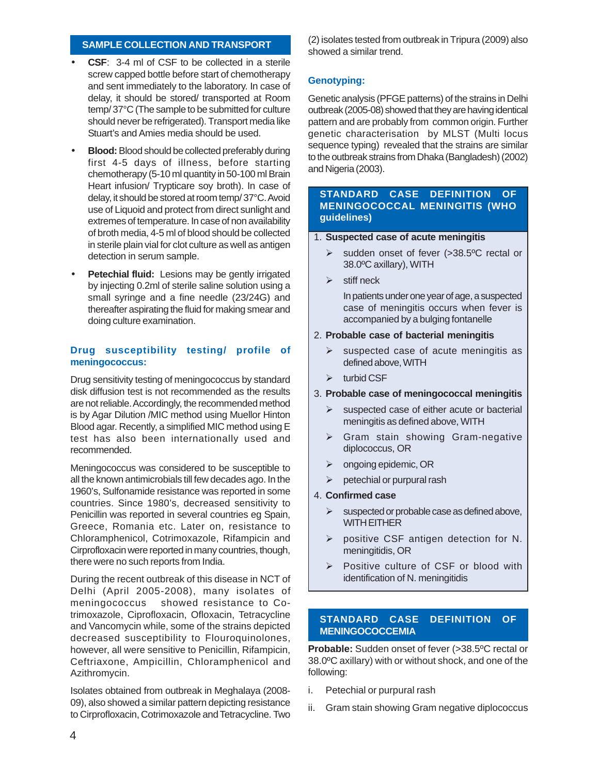## **SAMPLE COLLECTION AND TRANSPORT**

- **CSF:** 3-4 ml of CSF to be collected in a sterile screw capped bottle before start of chemotherapy and sent immediately to the laboratory. In case of delay, it should be stored/ transported at Room temp/ 37°C (The sample to be submitted for culture should never be refrigerated). Transport media like Stuart's and Amies media should be used.
- **Blood:** Blood should be collected preferably during first 4-5 days of illness, before starting chemotherapy (5-10 ml quantity in 50-100 ml Brain Heart infusion/ Trypticare soy broth). In case of delay, it should be stored at room temp/ 37°C. Avoid use of Liquoid and protect from direct sunlight and extremes of temperature. In case of non availability of broth media, 4-5 ml of blood should be collected in sterile plain vial for clot culture as well as antigen detection in serum sample.
- **Petechial fluid:** Lesions may be gently irrigated by injecting 0.2ml of sterile saline solution using a small syringe and a fine needle (23/24G) and thereafter aspirating the fluid for making smear and doing culture examination.

## **Drug susceptibility testing/ profile of meningococcus:**

Drug sensitivity testing of meningococcus by standard disk diffusion test is not recommended as the results are not reliable. Accordingly, the recommended method is by Agar Dilution /MIC method using Muellor Hinton Blood agar. Recently, a simplified MIC method using E test has also been internationally used and recommended.

Meningococcus was considered to be susceptible to all the known antimicrobials till few decades ago. In the 1960's, Sulfonamide resistance was reported in some countries. Since 1980's, decreased sensitivity to Penicillin was reported in several countries eg Spain, Greece, Romania etc. Later on, resistance to Chloramphenicol, Cotrimoxazole, Rifampicin and Cirprofloxacin were reported in many countries, though, there were no such reports from India.

During the recent outbreak of this disease in NCT of Delhi (April 2005-2008), many isolates of meningococcus showed resistance to Cotrimoxazole, Ciprofloxacin, Ofloxacin, Tetracycline and Vancomycin while, some of the strains depicted decreased susceptibility to Flouroquinolones, however, all were sensitive to Penicillin, Rifampicin, Ceftriaxone, Ampicillin, Chloramphenicol and Azithromycin.

Isolates obtained from outbreak in Meghalaya (2008- 09), also showed a similar pattern depicting resistance to Cirprofloxacin, Cotrimoxazole and Tetracycline. Two (2) isolates tested from outbreak in Tripura (2009) also showed a similar trend.

## **Genotyping:**

Genetic analysis (PFGE patterns) of the strains in Delhi outbreak (2005-08) showed that they are having identical pattern and are probably from common origin. Further genetic characterisation by MLST (Multi locus sequence typing) revealed that the strains are similar to the outbreak strains from Dhaka (Bangladesh) (2002) and Nigeria (2003).

## **STANDARD CASE DEFINITION OF MENINGOCOCCAL MENINGITIS (WHO guidelines)**

- 1. **Suspected case of acute meningitis**
	- sudden onset of fever (>38.5ºC rectal or 38.0ºC axillary), WITH
	- $\triangleright$  stiff neck

In patients under one year of age, a suspected case of meningitis occurs when fever is accompanied by a bulging fontanelle

- 2. **Probable case of bacterial meningitis**
	- $\triangleright$  suspected case of acute meningitis as defined above, WITH
	- $\triangleright$  turbid CSF
- 3. **Probable case of meningococcal meningitis**
	- $\triangleright$  suspected case of either acute or bacterial meningitis as defined above, WITH
	- $\triangleright$  Gram stain showing Gram-negative diplococcus, OR
	- $\triangleright$  ongoing epidemic, OR
	- $\triangleright$  petechial or purpural rash
- 4. **Confirmed case**
	- $\triangleright$  suspected or probable case as defined above, **WITH EITHER**
	- ▶ positive CSF antigen detection for N. meningitidis, OR
	- $\triangleright$  Positive culture of CSF or blood with identification of N. meningitidis

## **STANDARD CASE DEFINITION OF MENINGOCOCCEMIA**

**Probable:** Sudden onset of fever (>38.5°C rectal or 38.0ºC axillary) with or without shock, and one of the following:

- i. Petechial or purpural rash
- ii. Gram stain showing Gram negative diplococcus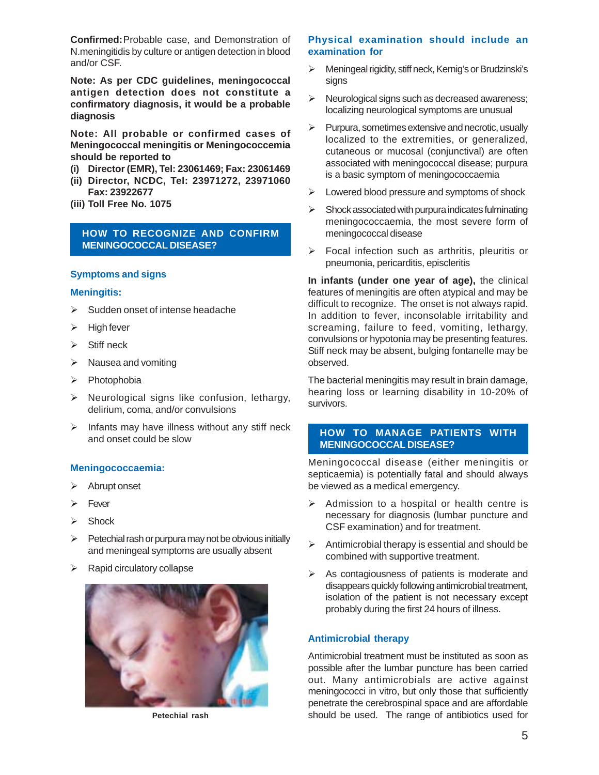**Confirmed:**Probable case, and Demonstration of N.meningitidis by culture or antigen detection in blood and/or CSF.

**Note: As per CDC guidelines, meningococcal antigen detection does not constitute a confirmatory diagnosis, it would be a probable diagnosis**

**Note: All probable or confirmed cases of Meningococcal meningitis or Meningococcemia should be reported to**

- **(i) Director (EMR), Tel: 23061469; Fax: 23061469**
- **(ii) Director, NCDC, Tel: 23971272, 23971060 Fax: 23922677**
- **(iii) Toll Free No. 1075**

## **HOW TO RECOGNIZE AND CONFIRM MENINGOCOCCAL DISEASE?**

## **Symptoms and signs**

#### **Meningitis:**

- $\triangleright$  Sudden onset of intense headache
- $\triangleright$  High fever
- $\triangleright$  Stiff neck
- $\triangleright$  Nausea and vomiting
- $\triangleright$  Photophobia
- $\triangleright$  Neurological signs like confusion, lethargy, delirium, coma, and/or convulsions
- $\triangleright$  Infants may have illness without any stiff neck and onset could be slow

#### **Meningococcaemia:**

- > Abrupt onset
- $\triangleright$  Fever
- $\triangleright$  Shock
- $\triangleright$  Petechial rash or purpura may not be obvious initially and meningeal symptoms are usually absent
- $\triangleright$  Rapid circulatory collapse



#### **Physical examination should include an examination for**

- Meningeal rigidity, stiff neck, Kernig's or Brudzinski's signs
- $\triangleright$  Neurological signs such as decreased awareness; localizing neurological symptoms are unusual
- $\triangleright$  Purpura, sometimes extensive and necrotic, usually localized to the extremities, or generalized, cutaneous or mucosal (conjunctival) are often associated with meningococcal disease; purpura is a basic symptom of meningococcaemia
- $\triangleright$  Lowered blood pressure and symptoms of shock
- $\triangleright$  Shock associated with purpura indicates fulminating meningococcaemia, the most severe form of meningococcal disease
- $\triangleright$  Focal infection such as arthritis, pleuritis or pneumonia, pericarditis, episcleritis

**In infants (under one year of age),** the clinical features of meningitis are often atypical and may be difficult to recognize. The onset is not always rapid. In addition to fever, inconsolable irritability and screaming, failure to feed, vomiting, lethargy, convulsions or hypotonia may be presenting features. Stiff neck may be absent, bulging fontanelle may be observed.

The bacterial meningitis may result in brain damage, hearing loss or learning disability in 10-20% of survivors.

## **HOW TO MANAGE PATIENTS WITH MENINGOCOCCAL DISEASE?**

Meningococcal disease (either meningitis or septicaemia) is potentially fatal and should always be viewed as a medical emergency.

- $\triangleright$  Admission to a hospital or health centre is necessary for diagnosis (lumbar puncture and CSF examination) and for treatment.
- $\triangleright$  Antimicrobial therapy is essential and should be combined with supportive treatment.
- $\triangleright$  As contagiousness of patients is moderate and disappears quickly following antimicrobial treatment, isolation of the patient is not necessary except probably during the first 24 hours of illness.

#### **Antimicrobial therapy**

Antimicrobial treatment must be instituted as soon as possible after the lumbar puncture has been carried out. Many antimicrobials are active against meningococci in vitro, but only those that sufficiently penetrate the cerebrospinal space and are affordable **Petechial rash** should be used. The range of antibiotics used for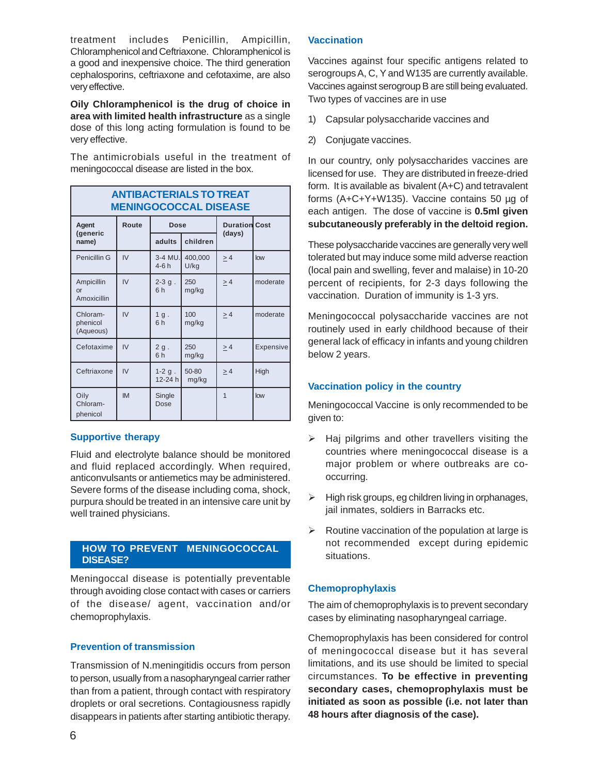treatment includes Penicillin, Ampicillin, Chloramphenicol and Ceftriaxone. Chloramphenicol is a good and inexpensive choice. The third generation cephalosporins, ceftriaxone and cefotaxime, are also very effective.

**Oily Chloramphenicol is the drug of choice in area with limited health infrastructure** as a single dose of this long acting formulation is found to be very effective.

The antimicrobials useful in the treatment of meningococcal disease are listed in the box.

**ANTIBACTERIALS TO TREAT**

| ANIIBACIERIALS IO IREAI<br><b>MENINGOCOCCAL DISEASE</b> |           |                     |                 |                      |           |  |  |
|---------------------------------------------------------|-----------|---------------------|-----------------|----------------------|-----------|--|--|
| Agent<br>(generic<br>name)                              | Route     | Dose                |                 | <b>Duration Cost</b> |           |  |  |
|                                                         |           | adults              | children        | (days)               |           |  |  |
| Penicillin G                                            | IV        | $3-4$ MU.<br>$4-6h$ | 400,000<br>U/kg | $\geq 4$             | low       |  |  |
| Ampicillin<br>or<br>Amoxicillin                         | IV        | $2 - 3 g$ .<br>6h   | 250<br>mg/kg    | $\geq 4$             | moderate  |  |  |
| Chloram-<br>phenicol<br>(Aqueous)                       | IV        | 1g.<br>6h           | 100<br>mg/kg    | $\geq 4$             | moderate  |  |  |
| Cefotaxime                                              | IV        | 2g.<br>6h           | 250<br>mg/kg    | > 4                  | Expensive |  |  |
| Ceftriaxone                                             | IV        | $1-2$ g.<br>12-24 h | 50-80<br>mg/kg  | > 4                  | High      |  |  |
| Oily<br>Chloram-<br>phenicol                            | <b>IM</b> | Single<br>Dose      |                 | 1                    | low       |  |  |

#### **Supportive therapy**

Fluid and electrolyte balance should be monitored and fluid replaced accordingly. When required, anticonvulsants or antiemetics may be administered. Severe forms of the disease including coma, shock, purpura should be treated in an intensive care unit by well trained physicians.

## **HOW TO PREVENT MENINGOCOCCAL DISEASE?**

Meningoccal disease is potentially preventable through avoiding close contact with cases or carriers of the disease/ agent, vaccination and/or chemoprophylaxis.

## **Prevention of transmission**

Transmission of N.meningitidis occurs from person to person, usually from a nasopharyngeal carrier rather than from a patient, through contact with respiratory droplets or oral secretions. Contagiousness rapidly disappears in patients after starting antibiotic therapy.

#### **Vaccination**

Vaccines against four specific antigens related to serogroups A, C, Y and W135 are currently available. Vaccines against serogroup B are still being evaluated. Two types of vaccines are in use

- 1) Capsular polysaccharide vaccines and
- 2) Conjugate vaccines.

In our country, only polysaccharides vaccines are licensed for use.They are distributed in freeze-dried form. It is available as bivalent (A+C) and tetravalent forms (A+C+Y+W135). Vaccine contains 50 µg of each antigen. The dose of vaccine is **0.5ml given subcutaneously preferably in the deltoid region.**

These polysaccharide vaccines are generally very well tolerated but may induce some mild adverse reaction (local pain and swelling, fever and malaise) in 10-20 percent of recipients, for 2-3 days following the vaccination. Duration of immunity is 1-3 yrs.

Meningococcal polysaccharide vaccines are not routinely used in early childhood because of their general lack of efficacy in infants and young children below 2 years.

## **Vaccination policy in the country**

Meningococcal Vaccine is only recommended to be given to:

- $\triangleright$  Haj pilgrims and other travellers visiting the countries where meningococcal disease is a major problem or where outbreaks are cooccurring.
- $\triangleright$  High risk groups, eg children living in orphanages, jail inmates, soldiers in Barracks etc.
- $\triangleright$  Routine vaccination of the population at large is not recommended except during epidemic situations.

## **Chemoprophylaxis**

The aim of chemoprophylaxis is to prevent secondary cases by eliminating nasopharyngeal carriage.

Chemoprophylaxis has been considered for control of meningococcal disease but it has several limitations, and its use should be limited to special circumstances. **To be effective in preventing secondary cases, chemoprophylaxis must be initiated as soon as possible (i.e. not later than 48 hours after diagnosis of the case).**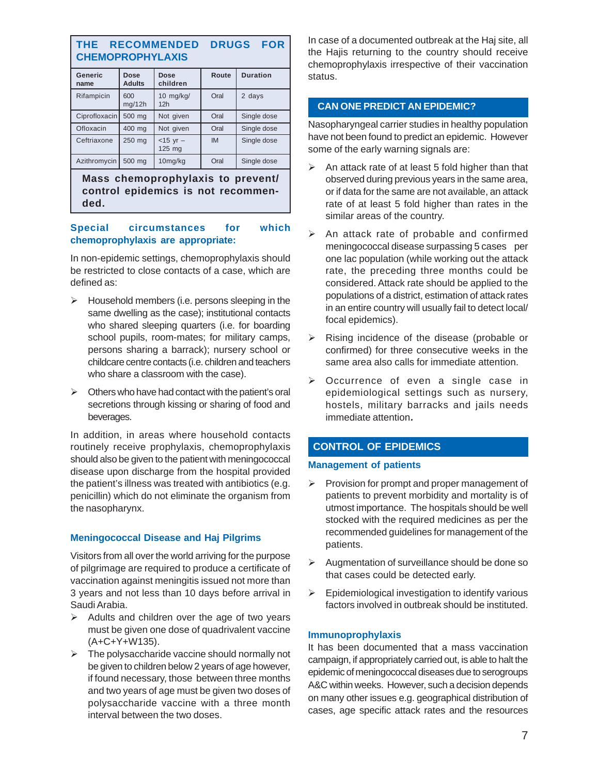## **THE RECOMMENDED DRUGS FOR CHEMOPROPHYLAXIS**

| <b>Generic</b><br>name | Dose<br><b>Adults</b> | <b>Dose</b><br>children        | Route     | <b>Duration</b> |  |  |  |
|------------------------|-----------------------|--------------------------------|-----------|-----------------|--|--|--|
| Rifampicin             | 600<br>mq/12h         | $10$ mg/kg/<br>12 <sub>h</sub> | Oral      | 2 days          |  |  |  |
| Ciprofloxacin          | 500 mg                | Not given                      | Oral      | Single dose     |  |  |  |
| Ofloxacin              | 400 mg                | Not given                      | Oral      | Single dose     |  |  |  |
| Ceftriaxone            | 250 mg                | $<$ 15 yr $-$<br>125 mg        | <b>IM</b> | Single dose     |  |  |  |
| Azithromycin           | 500 mg                | 10mg/kg                        | Oral      | Single dose     |  |  |  |

**Mass chemoprophylaxis to prevent/ control epidemics is not recommended.**

#### **Special circumstances for which chemoprophylaxis are appropriate:**

In non-epidemic settings, chemoprophylaxis should be restricted to close contacts of a case, which are defined as:

- $\triangleright$  Household members (i.e. persons sleeping in the same dwelling as the case); institutional contacts who shared sleeping quarters (i.e. for boarding school pupils, room-mates; for military camps, persons sharing a barrack); nursery school or childcare centre contacts (i.e. children and teachers who share a classroom with the case).
- $\triangleright$  Others who have had contact with the patient's oral secretions through kissing or sharing of food and beverages.

In addition, in areas where household contacts routinely receive prophylaxis, chemoprophylaxis should also be given to the patient with meningococcal disease upon discharge from the hospital provided the patient's illness was treated with antibiotics (e.g. penicillin) which do not eliminate the organism from the nasopharynx.

## **Meningococcal Disease and Haj Pilgrims**

Visitors from all over the world arriving for the purpose of pilgrimage are required to produce a certificate of vaccination against meningitis issued not more than 3 years and not less than 10 days before arrival in Saudi Arabia.

- $\triangleright$  Adults and children over the age of two years must be given one dose of quadrivalent vaccine (A+C+Y+W135).
- $\triangleright$  The polysaccharide vaccine should normally not be given to children below 2 years of age however, if found necessary, those between three months and two years of age must be given two doses of polysaccharide vaccine with a three month interval between the two doses.

In case of a documented outbreak at the Haj site, all the Hajis returning to the country should receive chemoprophylaxis irrespective of their vaccination status.

## **CAN ONE PREDICT AN EPIDEMIC?**

Nasopharyngeal carrier studies in healthy population have not been found to predict an epidemic. However some of the early warning signals are:

- $\triangleright$  An attack rate of at least 5 fold higher than that observed during previous years in the same area, or if data for the same are not available, an attack rate of at least 5 fold higher than rates in the similar areas of the country.
- $\triangleright$  An attack rate of probable and confirmed meningococcal disease surpassing 5 cases per one lac population (while working out the attack rate, the preceding three months could be considered. Attack rate should be applied to the populations of a district, estimation of attack rates in an entire country will usually fail to detect local/ focal epidemics).
- $\triangleright$  Rising incidence of the disease (probable or confirmed) for three consecutive weeks in the same area also calls for immediate attention.
- $\triangleright$  Occurrence of even a single case in epidemiological settings such as nursery, hostels, military barracks and jails needs immediate attention**.**

## **CONTROL OF EPIDEMICS**

## **Management of patients**

- $\triangleright$  Provision for prompt and proper management of patients to prevent morbidity and mortality is of utmost importance. The hospitals should be well stocked with the required medicines as per the recommended guidelines for management of the patients.
- $\triangleright$  Augmentation of surveillance should be done so that cases could be detected early.
- $\triangleright$  Epidemiological investigation to identify various factors involved in outbreak should be instituted.

## **Immunoprophylaxis**

It has been documented that a mass vaccination campaign, if appropriately carried out, is able to halt the epidemic of meningococcal diseases due to serogroups A&C within weeks. However, such a decision depends on many other issues e.g. geographical distribution of cases, age specific attack rates and the resources